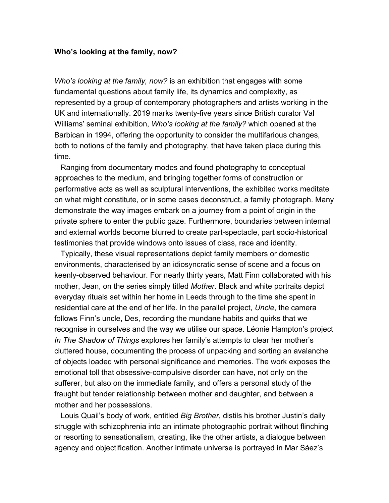## **Who's looking at the family, now?**

*Who's looking at the family, now?* is an exhibition that engages with some fundamental questions about family life, its dynamics and complexity, as represented by a group of contemporary photographers and artists working in the UK and internationally. 2019 marks twenty-five years since British curator Val Williams' seminal exhibition, *Who's looking at the family?* which opened at the Barbican in 1994, offering the opportunity to consider the multifarious changes, both to notions of the family and photography, that have taken place during this time.

 Ranging from documentary modes and found photography to conceptual approaches to the medium, and bringing together forms of construction or performative acts as well as sculptural interventions, the exhibited works meditate on what might constitute, or in some cases deconstruct, a family photograph. Many demonstrate the way images embark on a journey from a point of origin in the private sphere to enter the public gaze. Furthermore, boundaries between internal and external worlds become blurred to create part-spectacle, part socio-historical testimonies that provide windows onto issues of class, race and identity.

 Typically, these visual representations depict family members or domestic environments, characterised by an idiosyncratic sense of scene and a focus on keenly-observed behaviour. For nearly thirty years, Matt Finn collaborated with his mother, Jean, on the series simply titled *Mother*. Black and white portraits depict everyday rituals set within her home in Leeds through to the time she spent in residential care at the end of her life. In the parallel project, *Uncle*, the camera follows Finn's uncle, Des, recording the mundane habits and quirks that we recognise in ourselves and the way we utilise our space. Léonie Hampton's project *In The Shadow of Things* explores her family's attempts to clear her mother's cluttered house, documenting the process of unpacking and sorting an avalanche of objects loaded with personal significance and memories. The work exposes the emotional toll that obsessive-compulsive disorder can have, not only on the sufferer, but also on the immediate family, and offers a personal study of the fraught but tender relationship between mother and daughter, and between a mother and her possessions.

Louis Quail's body of work, entitled *Big Brother*, distils his brother Justin's daily struggle with schizophrenia into an intimate photographic portrait without flinching or resorting to sensationalism, creating, like the other artists, a dialogue between agency and objectification. Another intimate universe is portrayed in Mar Sáez's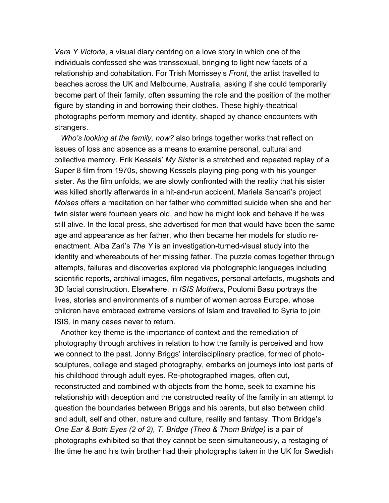*Vera Y Victoria*, a visual diary centring on a love story in which one of the individuals confessed she was transsexual, bringing to light new facets of a relationship and cohabitation. For Trish Morrissey's *Front*, the artist travelled to beaches across the UK and Melbourne, Australia, asking if she could temporarily become part of their family, often assuming the role and the position of the mother figure by standing in and borrowing their clothes. These highly-theatrical photographs perform memory and identity, shaped by chance encounters with strangers.

 *Who's looking at the family, now?* also brings together works that reflect on issues of loss and absence as a means to examine personal, cultural and collective memory. Erik Kessels' *My Sister* is a stretched and repeated replay of a Super 8 film from 1970s, showing Kessels playing ping-pong with his younger sister. As the film unfolds, we are slowly confronted with the reality that his sister was killed shortly afterwards in a hit-and-run accident. Mariela Sancari's project *Moises* offers a meditation on her father who committed suicide when she and her twin sister were fourteen years old, and how he might look and behave if he was still alive. In the local press, she advertised for men that would have been the same age and appearance as her father, who then became her models for studio reenactment. Alba Zari's *The Y* is an investigation-turned-visual study into the identity and whereabouts of her missing father. The puzzle comes together through attempts, failures and discoveries explored via photographic languages including scientific reports, archival images, film negatives, personal artefacts, mugshots and 3D facial construction. Elsewhere, in *ISIS Mothers*, Poulomi Basu portrays the lives, stories and environments of a number of women across Europe, whose children have embraced extreme versions of Islam and travelled to Syria to join ISIS, in many cases never to return.

 Another key theme is the importance of context and the remediation of photography through archives in relation to how the family is perceived and how we connect to the past. Jonny Briggs' interdisciplinary practice, formed of photosculptures, collage and staged photography, embarks on journeys into lost parts of his childhood through adult eyes. Re-photographed images, often cut, reconstructed and combined with objects from the home, seek to examine his relationship with deception and the constructed reality of the family in an attempt to question the boundaries between Briggs and his parents, but also between child and adult, self and other, nature and culture, reality and fantasy. Thom Bridge's *One Ear & Both Eyes (2 of 2), T. Bridge (Theo & Thom Bridge)* is a pair of photographs exhibited so that they cannot be seen simultaneously, a restaging of the time he and his twin brother had their photographs taken in the UK for Swedish